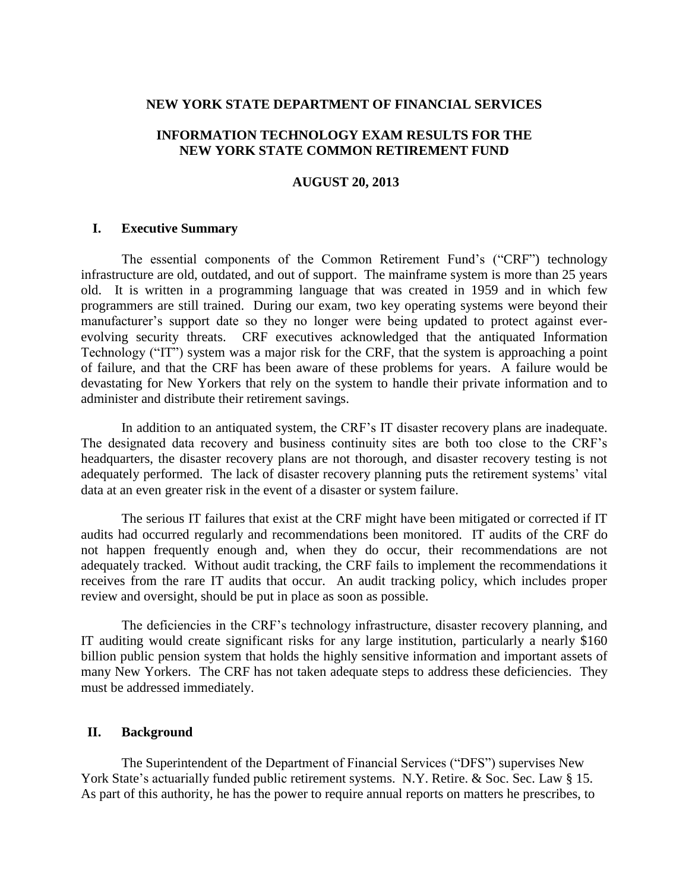#### **NEW YORK STATE DEPARTMENT OF FINANCIAL SERVICES**

### **INFORMATION TECHNOLOGY EXAM RESULTS FOR THE NEW YORK STATE COMMON RETIREMENT FUND**

### **AUGUST 20, 2013**

#### **I. Executive Summary**

The essential components of the Common Retirement Fund's ("CRF") technology infrastructure are old, outdated, and out of support. The mainframe system is more than 25 years old. It is written in a programming language that was created in 1959 and in which few programmers are still trained. During our exam, two key operating systems were beyond their manufacturer's support date so they no longer were being updated to protect against everevolving security threats. CRF executives acknowledged that the antiquated Information Technology ("IT") system was a major risk for the CRF, that the system is approaching a point of failure, and that the CRF has been aware of these problems for years. A failure would be devastating for New Yorkers that rely on the system to handle their private information and to administer and distribute their retirement savings.

In addition to an antiquated system, the CRF's IT disaster recovery plans are inadequate. The designated data recovery and business continuity sites are both too close to the CRF's headquarters, the disaster recovery plans are not thorough, and disaster recovery testing is not adequately performed. The lack of disaster recovery planning puts the retirement systems' vital data at an even greater risk in the event of a disaster or system failure.

The serious IT failures that exist at the CRF might have been mitigated or corrected if IT audits had occurred regularly and recommendations been monitored. IT audits of the CRF do not happen frequently enough and, when they do occur, their recommendations are not adequately tracked. Without audit tracking, the CRF fails to implement the recommendations it receives from the rare IT audits that occur. An audit tracking policy, which includes proper review and oversight, should be put in place as soon as possible.

The deficiencies in the CRF's technology infrastructure, disaster recovery planning, and IT auditing would create significant risks for any large institution, particularly a nearly \$160 billion public pension system that holds the highly sensitive information and important assets of many New Yorkers. The CRF has not taken adequate steps to address these deficiencies. They must be addressed immediately.

#### **II. Background**

The Superintendent of the Department of Financial Services ("DFS") supervises New York State's actuarially funded public retirement systems. N.Y. Retire. & Soc. Sec. Law § 15. As part of this authority, he has the power to require annual reports on matters he prescribes, to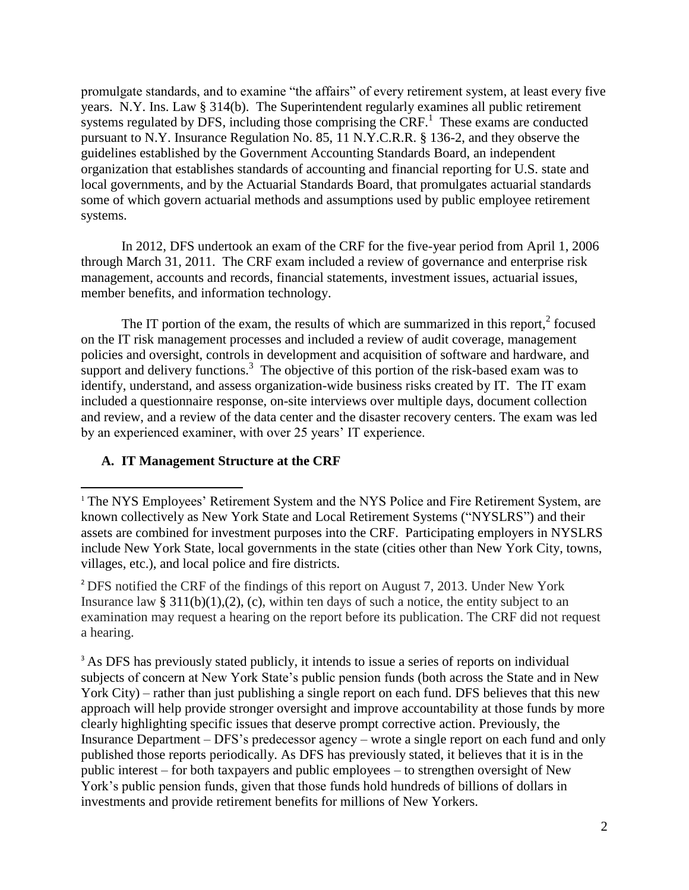promulgate standards, and to examine "the affairs" of every retirement system, at least every five years. N.Y. Ins. Law § 314(b). The Superintendent regularly examines all public retirement systems regulated by DFS, including those comprising the CRF.<sup>1</sup> These exams are conducted pursuant to N.Y. Insurance Regulation No. 85, 11 N.Y.C.R.R. § 136-2, and they observe the guidelines established by the Government Accounting Standards Board, an independent organization that establishes standards of accounting and financial reporting for U.S. state and local governments, and by the Actuarial Standards Board, that promulgates actuarial standards some of which govern actuarial methods and assumptions used by public employee retirement systems.

In 2012, DFS undertook an exam of the CRF for the five-year period from April 1, 2006 through March 31, 2011. The CRF exam included a review of governance and enterprise risk management, accounts and records, financial statements, investment issues, actuarial issues, member benefits, and information technology.

The IT portion of the exam, the results of which are summarized in this report, $2$  focused on the IT risk management processes and included a review of audit coverage, management policies and oversight, controls in development and acquisition of software and hardware, and support and delivery functions.<sup>3</sup> The objective of this portion of the risk-based exam was to identify, understand, and assess organization-wide business risks created by IT. The IT exam included a questionnaire response, on-site interviews over multiple days, document collection and review, and a review of the data center and the disaster recovery centers. The exam was led by an experienced examiner, with over 25 years' IT experience.

# **A. IT Management Structure at the CRF**

 $\overline{a}$ 

<sup>2</sup> DFS notified the CRF of the findings of this report on August 7, 2013. Under New York Insurance law §  $311(b)(1),(2),(c)$ , within ten days of such a notice, the entity subject to an examination may request a hearing on the report before its publication. The CRF did not request a hearing.

<sup>3</sup> As DFS has previously stated publicly, it intends to issue a series of reports on individual subjects of concern at New York State's public pension funds (both across the State and in New York City) – rather than just publishing a single report on each fund. DFS believes that this new approach will help provide stronger oversight and improve accountability at those funds by more clearly highlighting specific issues that deserve prompt corrective action. Previously, the Insurance Department – DFS's predecessor agency – wrote a single report on each fund and only published those reports periodically. As DFS has previously stated, it believes that it is in the public interest – for both taxpayers and public employees – to strengthen oversight of New York's public pension funds, given that those funds hold hundreds of billions of dollars in investments and provide retirement benefits for millions of New Yorkers.

<sup>&</sup>lt;sup>1</sup> The NYS Employees' Retirement System and the NYS Police and Fire Retirement System, are known collectively as New York State and Local Retirement Systems ("NYSLRS") and their assets are combined for investment purposes into the CRF. Participating employers in NYSLRS include New York State, local governments in the state (cities other than New York City, towns, villages, etc.), and local police and fire districts.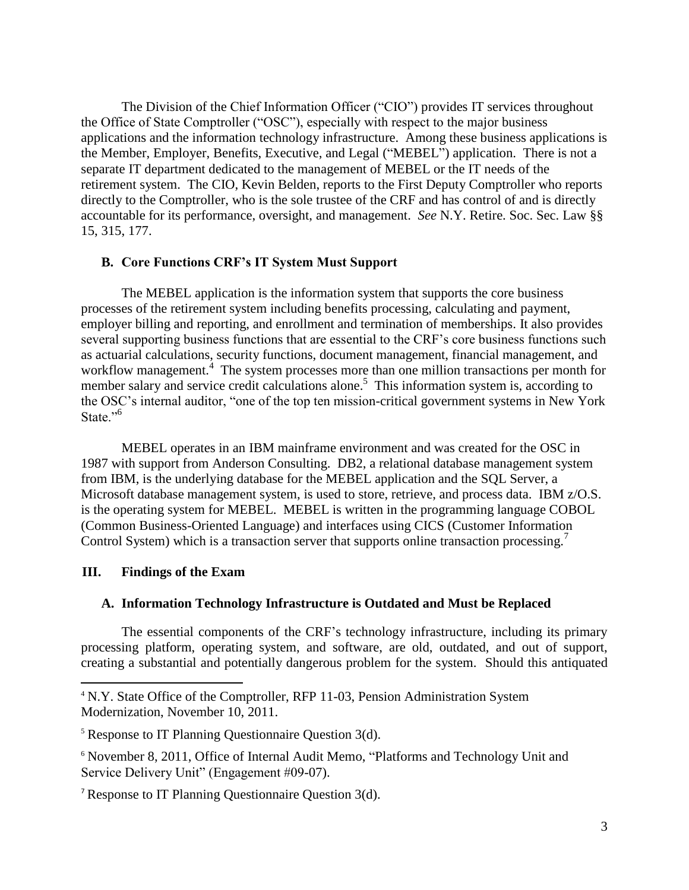The Division of the Chief Information Officer ("CIO") provides IT services throughout the Office of State Comptroller ("OSC"), especially with respect to the major business applications and the information technology infrastructure. Among these business applications is the Member, Employer, Benefits, Executive, and Legal ("MEBEL") application. There is not a separate IT department dedicated to the management of MEBEL or the IT needs of the retirement system. The CIO, Kevin Belden, reports to the First Deputy Comptroller who reports directly to the Comptroller, who is the sole trustee of the CRF and has control of and is directly accountable for its performance, oversight, and management. *See* N.Y. Retire. Soc. Sec. Law §§ 15, 315, 177.

### **B. Core Functions CRF's IT System Must Support**

The MEBEL application is the information system that supports the core business processes of the retirement system including benefits processing, calculating and payment, employer billing and reporting, and enrollment and termination of memberships. It also provides several supporting business functions that are essential to the CRF's core business functions such as actuarial calculations, security functions, document management, financial management, and workflow management.<sup>4</sup> The system processes more than one million transactions per month for member salary and service credit calculations alone.<sup>5</sup> This information system is, according to the OSC's internal auditor, "one of the top ten mission-critical government systems in New York State."<sup>6</sup>

MEBEL operates in an IBM mainframe environment and was created for the OSC in 1987 with support from Anderson Consulting. DB2, a relational database management system from IBM, is the underlying database for the MEBEL application and the SQL Server, a Microsoft database management system, is used to store, retrieve, and process data. IBM z/O.S. is the operating system for MEBEL. MEBEL is written in the programming language COBOL (Common Business-Oriented Language) and interfaces using CICS (Customer Information Control System) which is a transaction server that supports online transaction processing.<sup>7</sup>

# **III. Findings of the Exam**

 $\overline{a}$ 

# **A. Information Technology Infrastructure is Outdated and Must be Replaced**

The essential components of the CRF's technology infrastructure, including its primary processing platform, operating system, and software, are old, outdated, and out of support, creating a substantial and potentially dangerous problem for the system. Should this antiquated

<sup>&</sup>lt;sup>4</sup> N.Y. State Office of the Comptroller, RFP 11-03, Pension Administration System Modernization, November 10, 2011.

 $5$  Response to IT Planning Questionnaire Question 3(d).

<sup>6</sup> November 8, 2011, Office of Internal Audit Memo, "Platforms and Technology Unit and Service Delivery Unit" (Engagement #09-07).

<sup>7</sup> Response to IT Planning Questionnaire Question 3(d).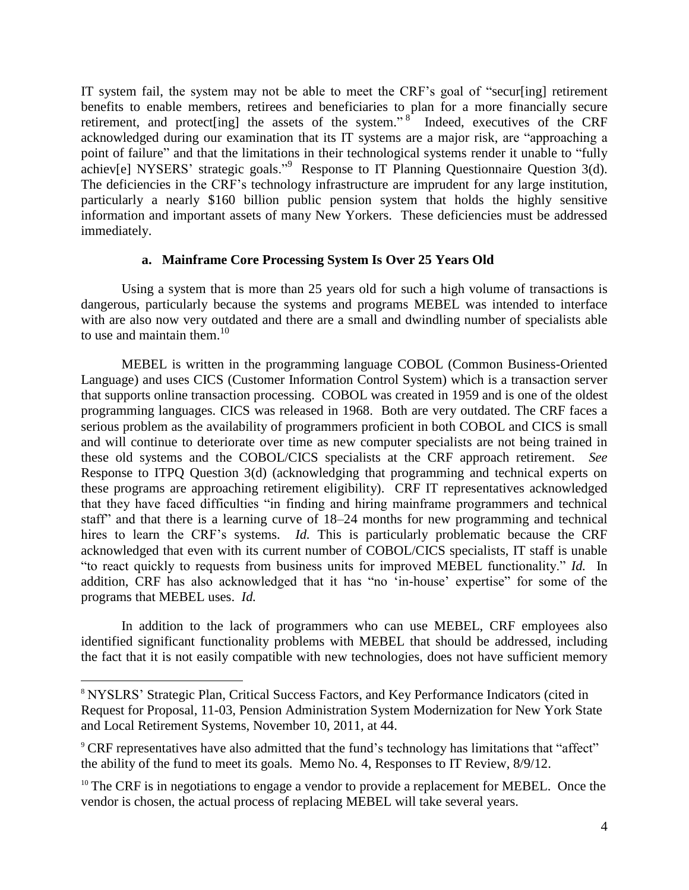IT system fail, the system may not be able to meet the CRF's goal of "secur[ing] retirement benefits to enable members, retirees and beneficiaries to plan for a more financially secure retirement, and protect [ing] the assets of the system." $8^{\circ}$  Indeed, executives of the CRF acknowledged during our examination that its IT systems are a major risk, are "approaching a point of failure" and that the limitations in their technological systems render it unable to "fully achiev[e] NYSERS' strategic goals."<sup>9</sup> Response to IT Planning Questionnaire Question 3(d). The deficiencies in the CRF's technology infrastructure are imprudent for any large institution, particularly a nearly \$160 billion public pension system that holds the highly sensitive information and important assets of many New Yorkers. These deficiencies must be addressed immediately.

### **a. Mainframe Core Processing System Is Over 25 Years Old**

Using a system that is more than 25 years old for such a high volume of transactions is dangerous, particularly because the systems and programs MEBEL was intended to interface with are also now very outdated and there are a small and dwindling number of specialists able to use and maintain them. $10$ 

MEBEL is written in the programming language COBOL (Common Business-Oriented Language) and uses CICS (Customer Information Control System) which is a transaction server that supports online transaction processing. COBOL was created in 1959 and is one of the oldest programming languages. CICS was released in 1968. Both are very outdated. The CRF faces a serious problem as the availability of programmers proficient in both COBOL and CICS is small and will continue to deteriorate over time as new computer specialists are not being trained in these old systems and the COBOL/CICS specialists at the CRF approach retirement. *See*  Response to ITPQ Question 3(d) (acknowledging that programming and technical experts on these programs are approaching retirement eligibility). CRF IT representatives acknowledged that they have faced difficulties "in finding and hiring mainframe programmers and technical staff" and that there is a learning curve of 18–24 months for new programming and technical hires to learn the CRF's systems. *Id.* This is particularly problematic because the CRF acknowledged that even with its current number of COBOL/CICS specialists, IT staff is unable "to react quickly to requests from business units for improved MEBEL functionality." *Id.* In addition, CRF has also acknowledged that it has "no 'in-house' expertise" for some of the programs that MEBEL uses. *Id.* 

In addition to the lack of programmers who can use MEBEL, CRF employees also identified significant functionality problems with MEBEL that should be addressed, including the fact that it is not easily compatible with new technologies, does not have sufficient memory

 $\overline{\phantom{a}}$ 

<sup>&</sup>lt;sup>8</sup> NYSLRS' Strategic Plan, Critical Success Factors, and Key Performance Indicators (cited in Request for Proposal, 11-03, Pension Administration System Modernization for New York State and Local Retirement Systems, November 10, 2011, at 44.

<sup>&</sup>lt;sup>9</sup> CRF representatives have also admitted that the fund's technology has limitations that "affect" the ability of the fund to meet its goals. Memo No. 4, Responses to IT Review, 8/9/12.

 $10$  The CRF is in negotiations to engage a vendor to provide a replacement for MEBEL. Once the vendor is chosen, the actual process of replacing MEBEL will take several years.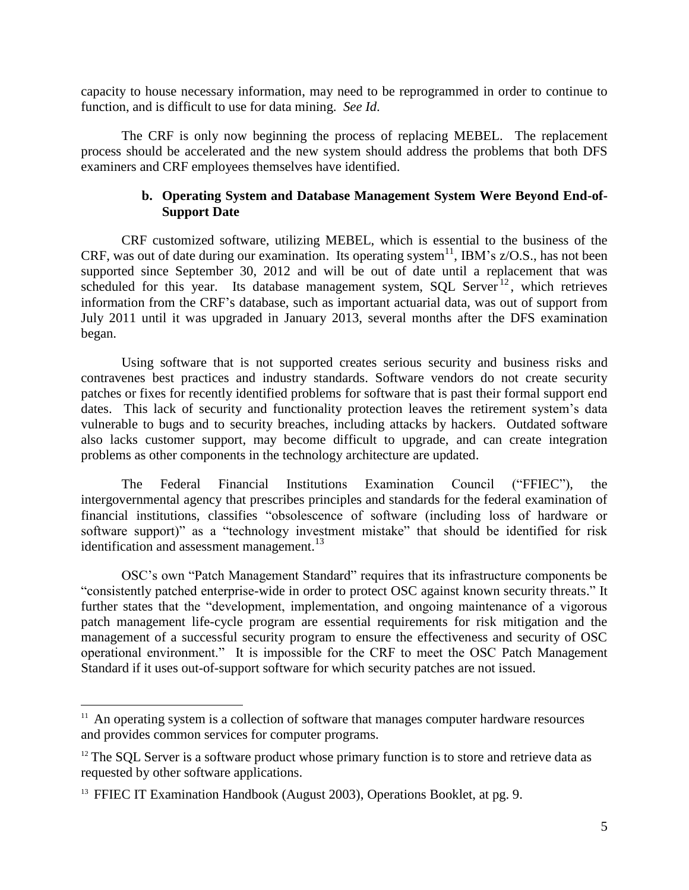capacity to house necessary information, may need to be reprogrammed in order to continue to function, and is difficult to use for data mining. *See Id*.

The CRF is only now beginning the process of replacing MEBEL. The replacement process should be accelerated and the new system should address the problems that both DFS examiners and CRF employees themselves have identified.

# **b. Operating System and Database Management System Were Beyond End-of-Support Date**

CRF customized software, utilizing MEBEL, which is essential to the business of the CRF, was out of date during our examination. Its operating system<sup>11</sup>, IBM's  $z/O.S.,$  has not been supported since September 30, 2012 and will be out of date until a replacement that was scheduled for this year. Its database management system, SQL Server  $12$ , which retrieves information from the CRF's database, such as important actuarial data, was out of support from July 2011 until it was upgraded in January 2013, several months after the DFS examination began.

Using software that is not supported creates serious security and business risks and contravenes best practices and industry standards. Software vendors do not create security patches or fixes for recently identified problems for software that is past their formal support end dates. This lack of security and functionality protection leaves the retirement system's data vulnerable to bugs and to security breaches, including attacks by hackers. Outdated software also lacks customer support, may become difficult to upgrade, and can create integration problems as other components in the technology architecture are updated.

The Federal Financial Institutions Examination Council ("FFIEC"), the intergovernmental agency that prescribes principles and standards for the federal examination of financial institutions, classifies "obsolescence of software (including loss of hardware or software support)" as a "technology investment mistake" that should be identified for risk identification and assessment management.<sup>13</sup>

OSC's own "Patch Management Standard" requires that its infrastructure components be "consistently patched enterprise-wide in order to protect OSC against known security threats." It further states that the "development, implementation, and ongoing maintenance of a vigorous patch management life-cycle program are essential requirements for risk mitigation and the management of a successful security program to ensure the effectiveness and security of OSC operational environment." It is impossible for the CRF to meet the OSC Patch Management Standard if it uses out-of-support software for which security patches are not issued.

<sup>&</sup>lt;sup>11</sup> An operating system is a collection of software that manages computer hardware resources and provides common services for computer programs.

 $12$  The SQL Server is a software product whose primary function is to store and retrieve data as requested by other software applications.

<sup>&</sup>lt;sup>13</sup> FFIEC IT Examination Handbook (August 2003), Operations Booklet, at pg. 9.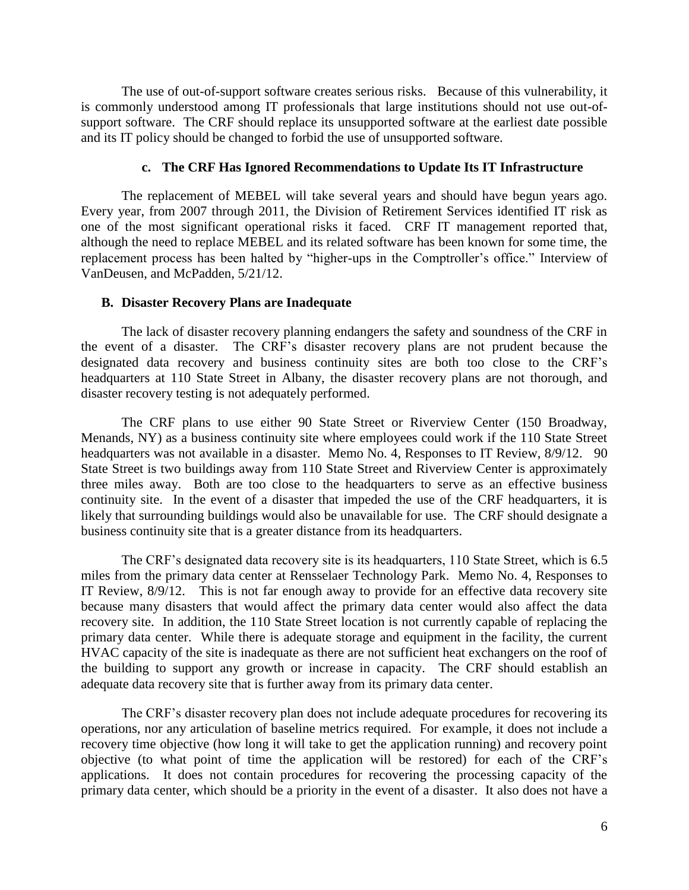The use of out-of-support software creates serious risks. Because of this vulnerability, it is commonly understood among IT professionals that large institutions should not use out-ofsupport software. The CRF should replace its unsupported software at the earliest date possible and its IT policy should be changed to forbid the use of unsupported software.

#### **c. The CRF Has Ignored Recommendations to Update Its IT Infrastructure**

The replacement of MEBEL will take several years and should have begun years ago. Every year, from 2007 through 2011, the Division of Retirement Services identified IT risk as one of the most significant operational risks it faced. CRF IT management reported that, although the need to replace MEBEL and its related software has been known for some time, the replacement process has been halted by "higher-ups in the Comptroller's office." Interview of VanDeusen, and McPadden, 5/21/12.

#### **B. Disaster Recovery Plans are Inadequate**

The lack of disaster recovery planning endangers the safety and soundness of the CRF in the event of a disaster. The CRF's disaster recovery plans are not prudent because the designated data recovery and business continuity sites are both too close to the CRF's headquarters at 110 State Street in Albany, the disaster recovery plans are not thorough, and disaster recovery testing is not adequately performed.

The CRF plans to use either 90 State Street or Riverview Center (150 Broadway, Menands, NY) as a business continuity site where employees could work if the 110 State Street headquarters was not available in a disaster. Memo No. 4, Responses to IT Review,  $8/9/12$ . 90 State Street is two buildings away from 110 State Street and Riverview Center is approximately three miles away. Both are too close to the headquarters to serve as an effective business continuity site. In the event of a disaster that impeded the use of the CRF headquarters, it is likely that surrounding buildings would also be unavailable for use. The CRF should designate a business continuity site that is a greater distance from its headquarters.

The CRF's designated data recovery site is its headquarters, 110 State Street, which is 6.5 miles from the primary data center at Rensselaer Technology Park. Memo No. 4, Responses to IT Review, 8/9/12. This is not far enough away to provide for an effective data recovery site because many disasters that would affect the primary data center would also affect the data recovery site. In addition, the 110 State Street location is not currently capable of replacing the primary data center. While there is adequate storage and equipment in the facility, the current HVAC capacity of the site is inadequate as there are not sufficient heat exchangers on the roof of the building to support any growth or increase in capacity. The CRF should establish an adequate data recovery site that is further away from its primary data center.

The CRF's disaster recovery plan does not include adequate procedures for recovering its operations, nor any articulation of baseline metrics required. For example, it does not include a recovery time objective (how long it will take to get the application running) and recovery point objective (to what point of time the application will be restored) for each of the CRF's applications. It does not contain procedures for recovering the processing capacity of the primary data center, which should be a priority in the event of a disaster. It also does not have a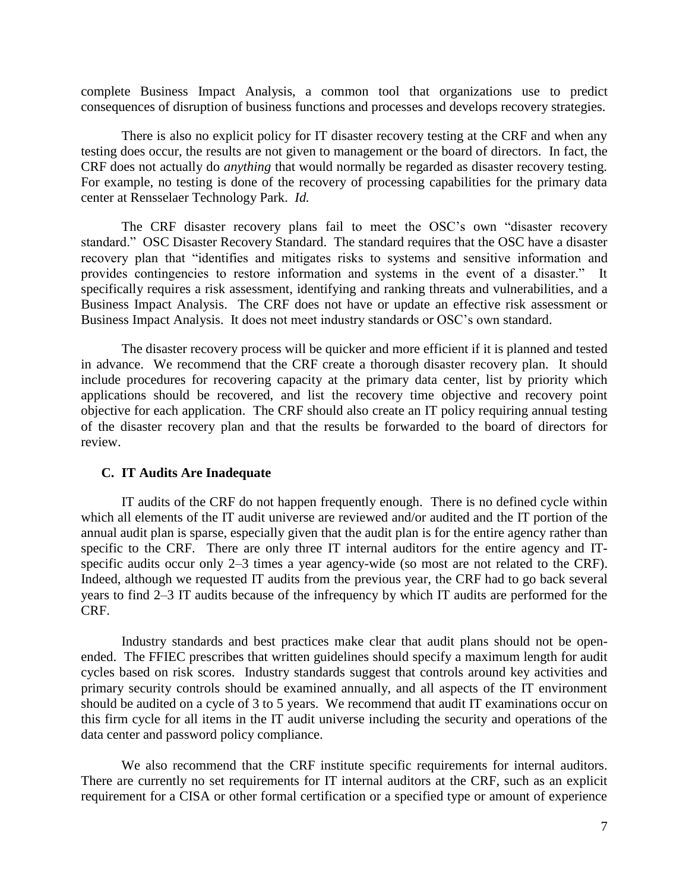complete Business Impact Analysis, a common tool that organizations use to predict consequences of disruption of business functions and processes and develops recovery strategies.

There is also no explicit policy for IT disaster recovery testing at the CRF and when any testing does occur, the results are not given to management or the board of directors. In fact, the CRF does not actually do *anything* that would normally be regarded as disaster recovery testing. For example, no testing is done of the recovery of processing capabilities for the primary data center at Rensselaer Technology Park. *Id.*

The CRF disaster recovery plans fail to meet the OSC's own "disaster recovery standard." OSC Disaster Recovery Standard. The standard requires that the OSC have a disaster recovery plan that "identifies and mitigates risks to systems and sensitive information and provides contingencies to restore information and systems in the event of a disaster." It specifically requires a risk assessment, identifying and ranking threats and vulnerabilities, and a Business Impact Analysis. The CRF does not have or update an effective risk assessment or Business Impact Analysis. It does not meet industry standards or OSC's own standard.

The disaster recovery process will be quicker and more efficient if it is planned and tested in advance. We recommend that the CRF create a thorough disaster recovery plan. It should include procedures for recovering capacity at the primary data center, list by priority which applications should be recovered, and list the recovery time objective and recovery point objective for each application. The CRF should also create an IT policy requiring annual testing of the disaster recovery plan and that the results be forwarded to the board of directors for review.

#### **C. IT Audits Are Inadequate**

IT audits of the CRF do not happen frequently enough. There is no defined cycle within which all elements of the IT audit universe are reviewed and/or audited and the IT portion of the annual audit plan is sparse, especially given that the audit plan is for the entire agency rather than specific to the CRF. There are only three IT internal auditors for the entire agency and ITspecific audits occur only 2–3 times a year agency-wide (so most are not related to the CRF). Indeed, although we requested IT audits from the previous year, the CRF had to go back several years to find 2–3 IT audits because of the infrequency by which IT audits are performed for the CRF.

Industry standards and best practices make clear that audit plans should not be openended. The FFIEC prescribes that written guidelines should specify a maximum length for audit cycles based on risk scores. Industry standards suggest that controls around key activities and primary security controls should be examined annually, and all aspects of the IT environment should be audited on a cycle of 3 to 5 years. We recommend that audit IT examinations occur on this firm cycle for all items in the IT audit universe including the security and operations of the data center and password policy compliance.

We also recommend that the CRF institute specific requirements for internal auditors. There are currently no set requirements for IT internal auditors at the CRF, such as an explicit requirement for a CISA or other formal certification or a specified type or amount of experience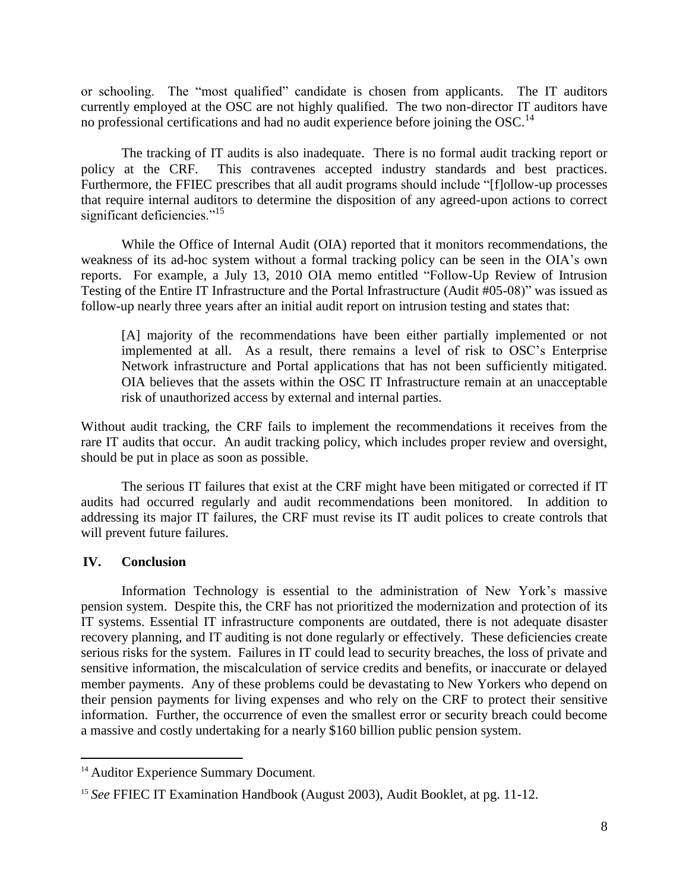or schooling. The "most qualified" candidate is chosen from applicants. The IT auditors currently employed at the OSC are not highly qualified. The two non-director IT auditors have no professional certifications and had no audit experience before joining the OSC.<sup>14</sup>

The tracking of IT audits is also inadequate. There is no formal audit tracking report or policy at the CRF. This contravenes accepted industry standards and best practices. Furthermore, the FFIEC prescribes that all audit programs should include "[f]ollow-up processes that require internal auditors to determine the disposition of any agreed-upon actions to correct significant deficiencies."<sup>15</sup>

While the Office of Internal Audit (OIA) reported that it monitors recommendations, the weakness of its ad-hoc system without a formal tracking policy can be seen in the OIA's own reports. For example, a July 13, 2010 OIA memo entitled "Follow-Up Review of Intrusion Testing of the Entire IT Infrastructure and the Portal Infrastructure (Audit #05-08)" was issued as follow-up nearly three years after an initial audit report on intrusion testing and states that:

[A] majority of the recommendations have been either partially implemented or not implemented at all. As a result, there remains a level of risk to OSC's Enterprise Network infrastructure and Portal applications that has not been sufficiently mitigated. OIA believes that the assets within the OSC IT Infrastructure remain at an unacceptable risk of unauthorized access by external and internal parties.

Without audit tracking, the CRF fails to implement the recommendations it receives from the rare IT audits that occur. An audit tracking policy, which includes proper review and oversight, should be put in place as soon as possible.

The serious IT failures that exist at the CRF might have been mitigated or corrected if IT audits had occurred regularly and audit recommendations been monitored. In addition to addressing its major IT failures, the CRF must revise its IT audit polices to create controls that will prevent future failures.

### **IV. Conclusion**

l

Information Technology is essential to the administration of New York's massive pension system. Despite this, the CRF has not prioritized the modernization and protection of its IT systems. Essential IT infrastructure components are outdated, there is not adequate disaster recovery planning, and IT auditing is not done regularly or effectively. These deficiencies create serious risks for the system. Failures in IT could lead to security breaches, the loss of private and sensitive information, the miscalculation of service credits and benefits, or inaccurate or delayed member payments. Any of these problems could be devastating to New Yorkers who depend on their pension payments for living expenses and who rely on the CRF to protect their sensitive information. Further, the occurrence of even the smallest error or security breach could become a massive and costly undertaking for a nearly \$160 billion public pension system.

<sup>&</sup>lt;sup>14</sup> Auditor Experience Summary Document.

<sup>15</sup> *See* FFIEC IT Examination Handbook (August 2003), Audit Booklet, at pg. 11-12.